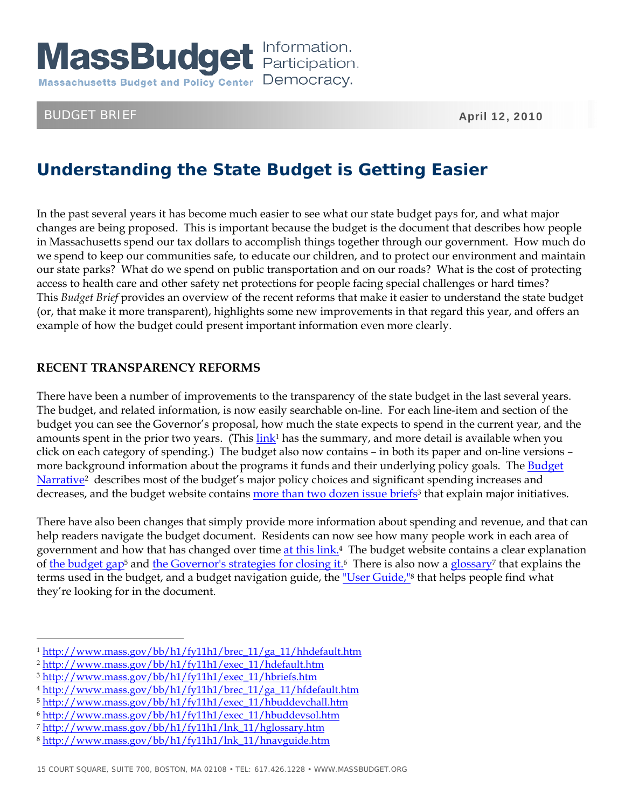

# BUDGET BRIEF April 12, 2010

# **Understanding the State Budget is Getting Easier**

In the past several years it has become much easier to see what our state budget pays for, and what major changes are being proposed. This is important because the budget is the document that describes how people in Massachusetts spend our tax dollars to accomplish things together through our government. How much do we spend to keep our communities safe, to educate our children, and to protect our environment and maintain our state parks? What do we spend on public transportation and on our roads? What is the cost of protecting access to health care and other safety net protections for people facing special challenges or hard times? This *Budget Brief* provides an overview of the recent reforms that make it easier to understand the state budget (or, that make it more transparent), highlights some new improvements in that regard this year, and offers an example of how the budget could present important information even more clearly.

# **RECENT TRANSPARENCY REFORMS**

There have been a number of improvements to the transparency of the state budget in the last several years. The budget, and related information, is now easily searchable on-line. For each line-item and section of the budget you can see the Governor's proposal, how much the state expects to spend in the current year, and the amounts spent in the prior two years. (This  $\frac{\text{link}}{\text{ln}k}$  has the summary, and more detail is available when you click on each category of spending.) The budget also now contains – in both its paper and on-line versions – more background information about the programs it funds and their underlying policy goals. The Budget [Narrative2](http://www.mass.gov/bb/h1/fy11h1/exec_11/hdefault.htm) describes most of the budget's major policy choices and significant spending increases and decreases, and the budget website contains more than two dozen issue briefs<sup>3</sup> that explain major initiatives.

There have also been changes that simply provide more information about spending and revenue, and that can help readers navigate the budget document. Residents can now see how many people work in each area of government and how that has changed over time at this link.<sup>4</sup> The budget website contains a clear explanation of [the budget gap5](http://www.mass.gov/bb/h1/fy11h1/exec_11/hbuddevchall.htm) and [the Governor's strategies for closing it.](http://www.mass.gov/bb/h1/fy11h1/exec_11/hbuddevsol.htm)6 There is also now a [glossary](http://www.mass.gov/bb/h1/fy11h1/lnk_11/hglossary.htm)7 that explains the terms used in the budget, and a budget navigation guide, the ["User Guide,"](http://www.mass.gov/bb/h1/fy11h1/lnk_11/hnavguide.htm)<sup>8</sup> that helps people find what they're looking for in the document.

<sup>1</sup> http://www.mass.gov/bb/h1/fy11h1/brec\_11/ga\_11/hhdefault.htm

<sup>2</sup> http://www.mass.gov/bb/h1/fy11h1/exec\_11/hdefault.htm

<sup>3</sup> http://www.mass.gov/bb/h1/fy11h1/exec\_11/hbriefs.htm

<sup>4</sup> http://www.mass.gov/bb/h1/fy11h1/brec\_11/ga\_11/hfdefault.htm

<sup>5</sup> http://www.mass.gov/bb/h1/fy11h1/exec\_11/hbuddevchall.htm

<sup>6</sup> http://www.mass.gov/bb/h1/fy11h1/exec\_11/hbuddevsol.htm

<sup>7</sup> http://www.mass.gov/bb/h1/fy11h1/lnk\_11/hglossary.htm

<sup>8</sup> http://www.mass.gov/bb/h1/fy11h1/lnk\_11/hnavguide.htm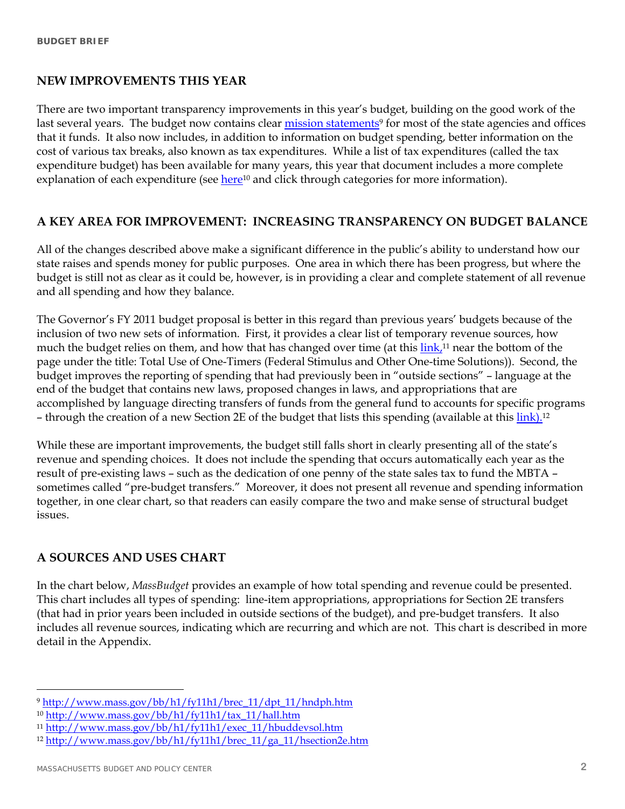## **NEW IMPROVEMENTS THIS YEAR**

There are two important transparency improvements in this year's budget, building on the good work of the last several years. The budget now contains clear mission statements<sup>9</sup> for most of the state agencies and offices that it funds. It also now includes, in addition to information on budget spending, better information on the cost of various tax breaks, also known as tax expenditures. While a list of tax expenditures (called the tax expenditure budget) has been available for many years, this year that document includes a more complete explanation of each expenditure (see here<sup>10</sup> and click through categories for more information).

# **A KEY AREA FOR IMPROVEMENT: INCREASING TRANSPARENCY ON BUDGET BALANCE**

All of the changes described above make a significant difference in the public's ability to understand how our state raises and spends money for public purposes. One area in which there has been progress, but where the budget is still not as clear as it could be, however, is in providing a clear and complete statement of all revenue and all spending and how they balance.

The Governor's FY 2011 budget proposal is better in this regard than previous years' budgets because of the inclusion of two new sets of information. First, it provides a clear list of temporary revenue sources, how much the budget relies on them, and how that has changed over time (at this link,<sup>11</sup> near the bottom of the page under the title: Total Use of One-Timers (Federal Stimulus and Other One-time Solutions)). Second, the budget improves the reporting of spending that had previously been in "outside sections" – language at the end of the budget that contains new laws, proposed changes in laws, and appropriations that are accomplished by language directing transfers of funds from the general fund to accounts for specific programs – through the creation of a new Section 2E of the budget that lists this spending (available at this  $\frac{\text{link}}{\text{.}^{12}}$ 

While these are important improvements, the budget still falls short in clearly presenting all of the state's revenue and spending choices. It does not include the spending that occurs automatically each year as the result of pre-existing laws – such as the dedication of one penny of the state sales tax to fund the MBTA – sometimes called "pre-budget transfers." Moreover, it does not present all revenue and spending information together, in one clear chart, so that readers can easily compare the two and make sense of structural budget issues.

# **A SOURCES AND USES CHART**

In the chart below, *MassBudget* provides an example of how total spending and revenue could be presented. This chart includes all types of spending: line-item appropriations, appropriations for Section 2E transfers (that had in prior years been included in outside sections of the budget), and pre-budget transfers. It also includes all revenue sources, indicating which are recurring and which are not. This chart is described in more detail in the Appendix.

<sup>9</sup> http://www.mass.gov/bb/h1/fy11h1/brec\_11/dpt\_11/hndph.htm

<sup>10</sup> http://www.mass.gov/bb/h1/fy11h1/tax\_11/hall.htm

<sup>11</sup> http://www.mass.gov/bb/h1/fy11h1/exec\_11/hbuddevsol.htm

<sup>12</sup> http://www.mass.gov/bb/h1/fy11h1/brec\_11/ga\_11/hsection2e.htm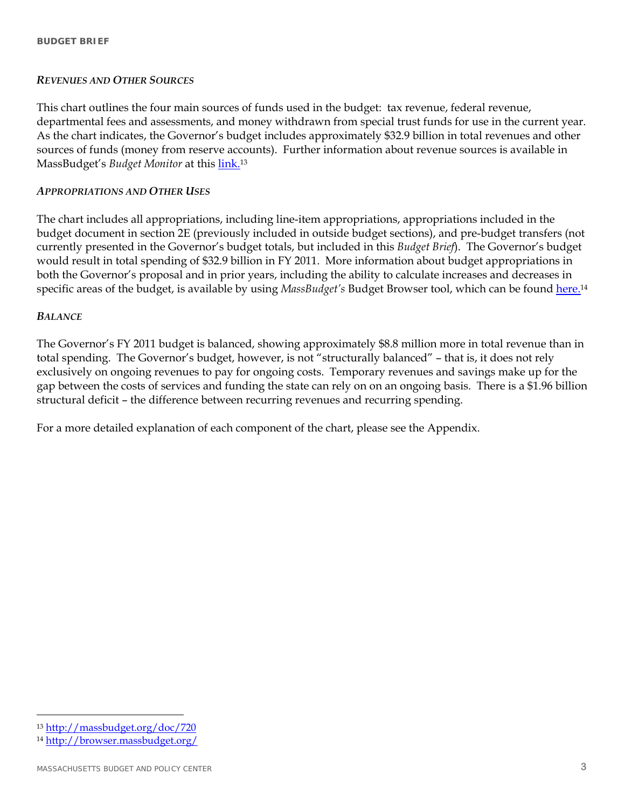## *REVENUES AND OTHER SOURCES*

This chart outlines the four main sources of funds used in the budget: tax revenue, federal revenue, departmental fees and assessments, and money withdrawn from special trust funds for use in the current year. As the chart indicates, the Governor's budget includes approximately \$32.9 billion in total revenues and other sources of funds (money from reserve accounts). Further information about revenue sources is available in MassBudget's *Budget Monitor* at this [link.13](http://massbudget.org/doc/720)

## *APPROPRIATIONS AND OTHER USES*

The chart includes all appropriations, including line-item appropriations, appropriations included in the budget document in section 2E (previously included in outside budget sections), and pre-budget transfers (not currently presented in the Governor's budget totals, but included in this *Budget Brief*). The Governor's budget would result in total spending of \$32.9 billion in FY 2011. More information about budget appropriations in both the Governor's proposal and in prior years, including the ability to calculate increases and decreases in specific areas of the budget, is available by using *MassBudget's* Budget Browser tool, which can be found [here.14](http://browser.massbudget.org/)

#### *BALANCE*

The Governor's FY 2011 budget is balanced, showing approximately \$8.8 million more in total revenue than in total spending. The Governor's budget, however, is not "structurally balanced" – that is, it does not rely exclusively on ongoing revenues to pay for ongoing costs. Temporary revenues and savings make up for the gap between the costs of services and funding the state can rely on on an ongoing basis. There is a \$1.96 billion structural deficit – the difference between recurring revenues and recurring spending.

For a more detailed explanation of each component of the chart, please see the Appendix.

 $\overline{a}$ <sup>13</sup> http://massbudget.org/doc/720

<sup>14</sup> http://browser.massbudget.org/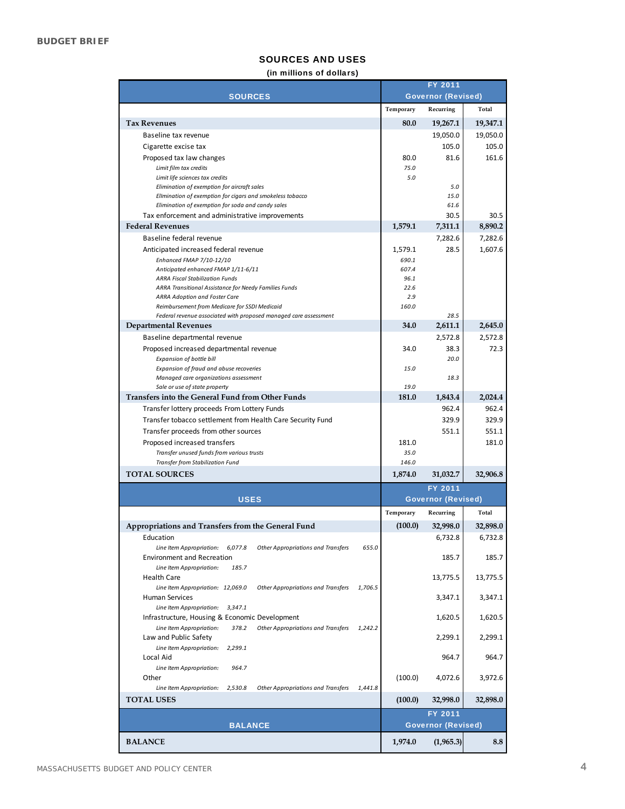#### SOURCES AND USES

#### (in millions of dollars)

|                                                                                                                                | FY 2011      |                           |                  |
|--------------------------------------------------------------------------------------------------------------------------------|--------------|---------------------------|------------------|
| <b>SOURCES</b>                                                                                                                 |              | <b>Governor (Revised)</b> |                  |
|                                                                                                                                | Temporary    | Recurring                 | Total            |
| <b>Tax Revenues</b>                                                                                                            | 80.0         | 19,267.1                  | 19,347.1         |
| Baseline tax revenue                                                                                                           |              | 19,050.0                  | 19,050.0         |
| Cigarette excise tax                                                                                                           |              | 105.0                     | 105.0            |
| Proposed tax law changes                                                                                                       | 80.0         | 81.6                      | 161.6            |
| Limit film tax credits<br>Limit life sciences tax credits                                                                      | 75.0<br>5.0  |                           |                  |
| Elimination of exemption for aircraft sales                                                                                    |              | 5.0                       |                  |
| Ellmination of exemption for cigars and smokeless tobacco                                                                      |              | 15.0                      |                  |
| Elimination of exemption for soda and candy sales                                                                              |              | 61.6                      |                  |
| Tax enforcement and administrative improvements<br><b>Federal Revenues</b>                                                     | 1,579.1      | 30.5<br>7,311.1           | 30.5<br>8,890.2  |
| Baseline federal revenue                                                                                                       |              | 7,282.6                   | 7,282.6          |
| Anticipated increased federal revenue                                                                                          | 1,579.1      | 28.5                      | 1,607.6          |
| Enhanced FMAP 7/10-12/10                                                                                                       | 690.1        |                           |                  |
| Anticipated enhanced FMAP 1/11-6/11                                                                                            | 607.4        |                           |                  |
| <b>ARRA Fiscal Stabilization Funds</b><br>ARRA Transitional Assistance for Needy Families Funds                                | 96.1<br>22.6 |                           |                  |
| <b>ARRA Adoption and Foster Care</b>                                                                                           | 2.9          |                           |                  |
| Reimbursement from Medicare for SSDI Medicaid                                                                                  | 160.0        |                           |                  |
| Federal revenue associated with proposed managed care assessment                                                               |              | 28.5                      |                  |
| <b>Departmental Revenues</b>                                                                                                   | 34.0         | 2,611.1                   | 2,645.0          |
| Baseline departmental revenue                                                                                                  |              | 2,572.8                   | 2,572.8          |
| Proposed increased departmental revenue<br>Expansion of bottle bill                                                            | 34.0         | 38.3<br>20.0              | 72.3             |
| Expansion of fraud and abuse recoveries                                                                                        | 15.0         |                           |                  |
| Managed care organizations assessment                                                                                          |              | 18.3                      |                  |
| Sale or use of state property                                                                                                  | 19.0         |                           |                  |
| Transfers into the General Fund from Other Funds                                                                               | 181.0        | 1,843.4<br>962.4          | 2,024.4<br>962.4 |
| Transfer lottery proceeds From Lottery Funds<br>Transfer tobacco settlement from Health Care Security Fund                     |              | 329.9                     | 329.9            |
| Transfer proceeds from other sources                                                                                           |              | 551.1                     | 551.1            |
| Proposed increased transfers                                                                                                   | 181.0        |                           | 181.0            |
| Transfer unused funds from various trusts                                                                                      | 35.0         |                           |                  |
| Transfer from Stabilization Fund                                                                                               | 146.0        |                           |                  |
| <b>TOTAL SOURCES</b>                                                                                                           | 1,874.0      | 31,032.7                  | 32,906.8         |
|                                                                                                                                |              | FY 2011                   |                  |
| <b>USES</b>                                                                                                                    |              | <b>Governor (Revised)</b> |                  |
|                                                                                                                                | Temporary    | Recurring                 | Total            |
| Appropriations and Transfers from the General Fund                                                                             | (100.0)      | 32,998.0                  | 32,898.0         |
| Education                                                                                                                      |              | 6,732.8                   | 6,732.8          |
| 655.0<br>Line Item Appropriations<br>6,077.8<br><b>Other Appropriations and Transfers</b><br><b>Environment and Recreation</b> |              | 185.7                     | 185.7            |
| Line Item Appropriations<br>185.7                                                                                              |              |                           |                  |
| Health Care                                                                                                                    |              | 13,775.5                  | 13,775.5         |
| 1,706.5<br>Line Item Appropriations 12,069.0<br><b>Other Appropriations and Transfers</b>                                      |              |                           |                  |
| Human Services<br>Line Item Appropriations 3,347.1                                                                             |              | 3,347.1                   | 3,347.1          |
| Infrastructure, Housing & Economic Development                                                                                 |              | 1,620.5                   | 1,620.5          |
| 1,242.2<br>Line Item Appropriations<br>378.2<br><b>Other Appropriations and Transfers</b>                                      |              |                           |                  |
| Law and Public Safety                                                                                                          |              | 2,299.1                   | 2,299.1          |
| Line Item Appropriations<br>2,299.1                                                                                            |              |                           |                  |
| Local Aid<br>Line Item Appropriations<br>964.7                                                                                 |              | 964.7                     | 964.7            |
| Other                                                                                                                          | (100.0)      | 4,072.6                   | 3,972.6          |
| Line Item Appropriations<br>Other Appropriations and Transfers<br>1,441.8<br>2,530.8                                           |              |                           |                  |
| <b>TOTAL USES</b>                                                                                                              | (100.0)      | 32,998.0                  | 32,898.0         |
|                                                                                                                                |              | FY 2011                   |                  |
| <b>BALANCE</b>                                                                                                                 |              | <b>Governor (Revised)</b> |                  |
| <b>BALANCE</b>                                                                                                                 | 1,974.0      | (1,965.3)                 | 8.8              |
|                                                                                                                                |              |                           |                  |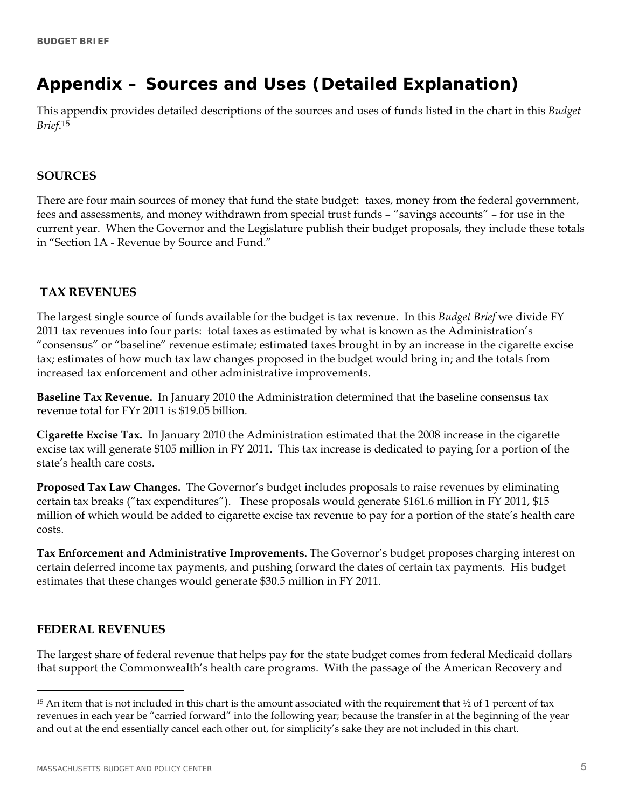# **Appendix – Sources and Uses (Detailed Explanation)**

This appendix provides detailed descriptions of the sources and uses of funds listed in the chart in this *Budget Brief*.15

## **SOURCES**

There are four main sources of money that fund the state budget: taxes, money from the federal government, fees and assessments, and money withdrawn from special trust funds – "savings accounts" – for use in the current year. When the Governor and the Legislature publish their budget proposals, they include these totals in "Section 1A - Revenue by Source and Fund."

# **TAX REVENUES**

The largest single source of funds available for the budget is tax revenue. In this *Budget Brief* we divide FY 2011 tax revenues into four parts: total taxes as estimated by what is known as the Administration's "consensus" or "baseline" revenue estimate; estimated taxes brought in by an increase in the cigarette excise tax; estimates of how much tax law changes proposed in the budget would bring in; and the totals from increased tax enforcement and other administrative improvements.

**Baseline Tax Revenue.** In January 2010 the Administration determined that the baseline consensus tax revenue total for FYr 2011 is \$19.05 billion.

**Cigarette Excise Tax.** In January 2010 the Administration estimated that the 2008 increase in the cigarette excise tax will generate \$105 million in FY 2011. This tax increase is dedicated to paying for a portion of the state's health care costs.

**Proposed Tax Law Changes.** The Governor's budget includes proposals to raise revenues by eliminating certain tax breaks ("tax expenditures"). These proposals would generate \$161.6 million in FY 2011, \$15 million of which would be added to cigarette excise tax revenue to pay for a portion of the state's health care costs.

**Tax Enforcement and Administrative Improvements.** The Governor's budget proposes charging interest on certain deferred income tax payments, and pushing forward the dates of certain tax payments. His budget estimates that these changes would generate \$30.5 million in FY 2011.

# **FEDERAL REVENUES**

 $\overline{a}$ 

The largest share of federal revenue that helps pay for the state budget comes from federal Medicaid dollars that support the Commonwealth's health care programs. With the passage of the American Recovery and

<sup>&</sup>lt;sup>15</sup> An item that is not included in this chart is the amount associated with the requirement that  $\frac{1}{2}$  of 1 percent of tax revenues in each year be "carried forward" into the following year; because the transfer in at the beginning of the year and out at the end essentially cancel each other out, for simplicity's sake they are not included in this chart.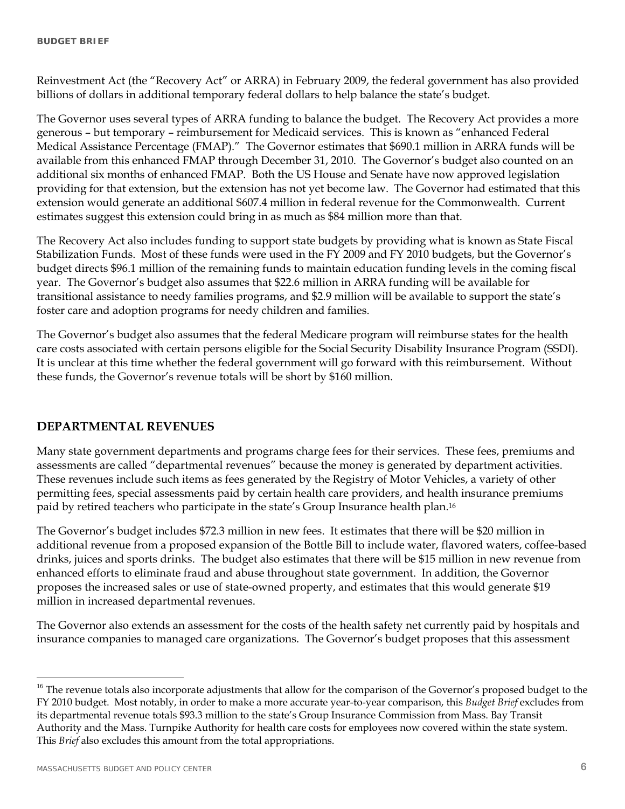Reinvestment Act (the "Recovery Act" or ARRA) in February 2009, the federal government has also provided billions of dollars in additional temporary federal dollars to help balance the state's budget.

The Governor uses several types of ARRA funding to balance the budget. The Recovery Act provides a more generous – but temporary – reimbursement for Medicaid services. This is known as "enhanced Federal Medical Assistance Percentage (FMAP)." The Governor estimates that \$690.1 million in ARRA funds will be available from this enhanced FMAP through December 31, 2010. The Governor's budget also counted on an additional six months of enhanced FMAP. Both the US House and Senate have now approved legislation providing for that extension, but the extension has not yet become law. The Governor had estimated that this extension would generate an additional \$607.4 million in federal revenue for the Commonwealth. Current estimates suggest this extension could bring in as much as \$84 million more than that.

The Recovery Act also includes funding to support state budgets by providing what is known as State Fiscal Stabilization Funds. Most of these funds were used in the FY 2009 and FY 2010 budgets, but the Governor's budget directs \$96.1 million of the remaining funds to maintain education funding levels in the coming fiscal year. The Governor's budget also assumes that \$22.6 million in ARRA funding will be available for transitional assistance to needy families programs, and \$2.9 million will be available to support the state's foster care and adoption programs for needy children and families.

The Governor's budget also assumes that the federal Medicare program will reimburse states for the health care costs associated with certain persons eligible for the Social Security Disability Insurance Program (SSDI). It is unclear at this time whether the federal government will go forward with this reimbursement. Without these funds, the Governor's revenue totals will be short by \$160 million.

# **DEPARTMENTAL REVENUES**

Many state government departments and programs charge fees for their services. These fees, premiums and assessments are called "departmental revenues" because the money is generated by department activities. These revenues include such items as fees generated by the Registry of Motor Vehicles, a variety of other permitting fees, special assessments paid by certain health care providers, and health insurance premiums paid by retired teachers who participate in the state's Group Insurance health plan.16

The Governor's budget includes \$72.3 million in new fees. It estimates that there will be \$20 million in additional revenue from a proposed expansion of the Bottle Bill to include water, flavored waters, coffee-based drinks, juices and sports drinks. The budget also estimates that there will be \$15 million in new revenue from enhanced efforts to eliminate fraud and abuse throughout state government. In addition, the Governor proposes the increased sales or use of state-owned property, and estimates that this would generate \$19 million in increased departmental revenues.

The Governor also extends an assessment for the costs of the health safety net currently paid by hospitals and insurance companies to managed care organizations. The Governor's budget proposes that this assessment

<sup>&</sup>lt;sup>16</sup> The revenue totals also incorporate adjustments that allow for the comparison of the Governor's proposed budget to the FY 2010 budget. Most notably, in order to make a more accurate year-to-year comparison, this *Budget Brief* excludes from its departmental revenue totals \$93.3 million to the state's Group Insurance Commission from Mass. Bay Transit Authority and the Mass. Turnpike Authority for health care costs for employees now covered within the state system. This *Brief* also excludes this amount from the total appropriations.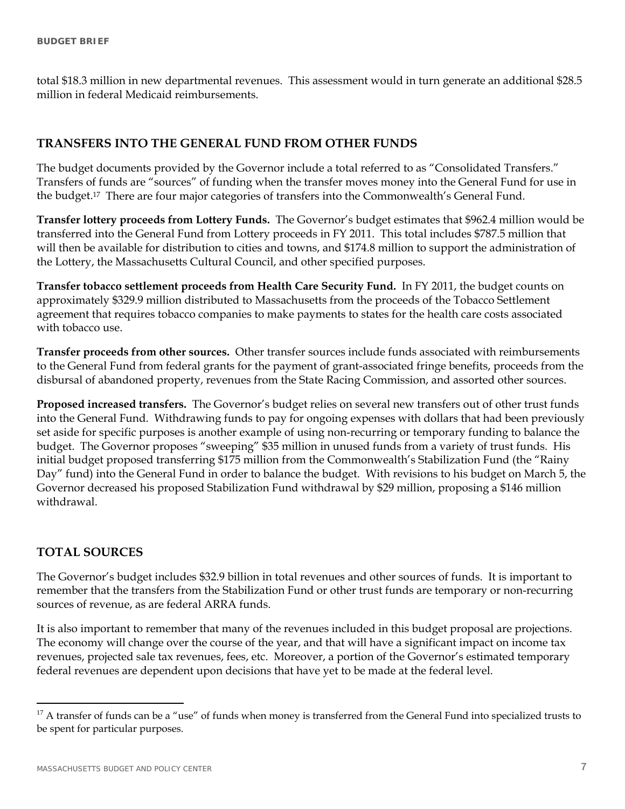total \$18.3 million in new departmental revenues. This assessment would in turn generate an additional \$28.5 million in federal Medicaid reimbursements.

# **TRANSFERS INTO THE GENERAL FUND FROM OTHER FUNDS**

The budget documents provided by the Governor include a total referred to as "Consolidated Transfers." Transfers of funds are "sources" of funding when the transfer moves money into the General Fund for use in the budget.17 There are four major categories of transfers into the Commonwealth's General Fund.

**Transfer lottery proceeds from Lottery Funds.** The Governor's budget estimates that \$962.4 million would be transferred into the General Fund from Lottery proceeds in FY 2011. This total includes \$787.5 million that will then be available for distribution to cities and towns, and \$174.8 million to support the administration of the Lottery, the Massachusetts Cultural Council, and other specified purposes.

**Transfer tobacco settlement proceeds from Health Care Security Fund.** In FY 2011, the budget counts on approximately \$329.9 million distributed to Massachusetts from the proceeds of the Tobacco Settlement agreement that requires tobacco companies to make payments to states for the health care costs associated with tobacco use.

**Transfer proceeds from other sources.** Other transfer sources include funds associated with reimbursements to the General Fund from federal grants for the payment of grant-associated fringe benefits, proceeds from the disbursal of abandoned property, revenues from the State Racing Commission, and assorted other sources.

**Proposed increased transfers.** The Governor's budget relies on several new transfers out of other trust funds into the General Fund. Withdrawing funds to pay for ongoing expenses with dollars that had been previously set aside for specific purposes is another example of using non-recurring or temporary funding to balance the budget. The Governor proposes "sweeping" \$35 million in unused funds from a variety of trust funds. His initial budget proposed transferring \$175 million from the Commonwealth's Stabilization Fund (the "Rainy Day" fund) into the General Fund in order to balance the budget. With revisions to his budget on March 5, the Governor decreased his proposed Stabilization Fund withdrawal by \$29 million, proposing a \$146 million withdrawal.

## **TOTAL SOURCES**

 $\overline{a}$ 

The Governor's budget includes \$32.9 billion in total revenues and other sources of funds. It is important to remember that the transfers from the Stabilization Fund or other trust funds are temporary or non-recurring sources of revenue, as are federal ARRA funds.

It is also important to remember that many of the revenues included in this budget proposal are projections. The economy will change over the course of the year, and that will have a significant impact on income tax revenues, projected sale tax revenues, fees, etc. Moreover, a portion of the Governor's estimated temporary federal revenues are dependent upon decisions that have yet to be made at the federal level.

 $17$  A transfer of funds can be a "use" of funds when money is transferred from the General Fund into specialized trusts to be spent for particular purposes.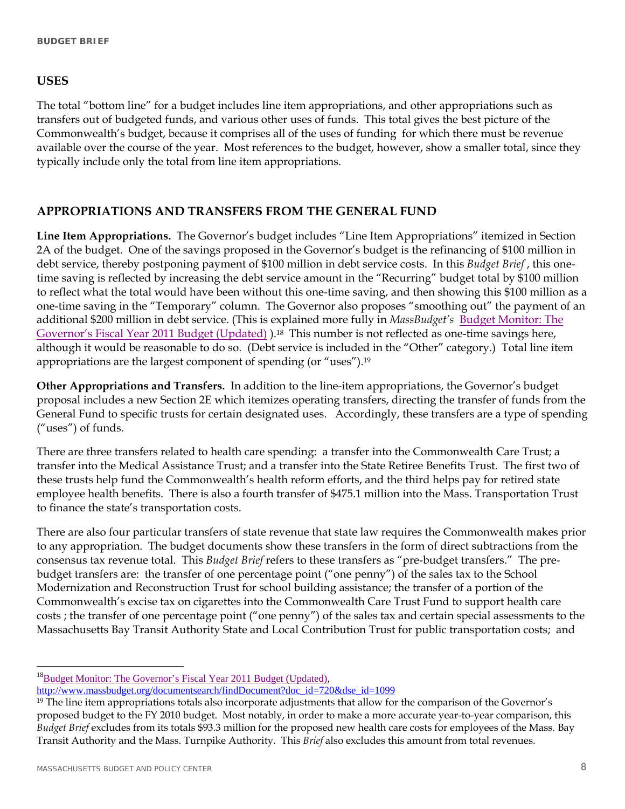# **USES**

The total "bottom line" for a budget includes line item appropriations, and other appropriations such as transfers out of budgeted funds, and various other uses of funds. This total gives the best picture of the Commonwealth's budget, because it comprises all of the uses of funding for which there must be revenue available over the course of the year. Most references to the budget, however, show a smaller total, since they typically include only the total from line item appropriations.

# **APPROPRIATIONS AND TRANSFERS FROM THE GENERAL FUND**

**Line Item Appropriations.** The Governor's budget includes "Line Item Appropriations" itemized in Section 2A of the budget. One of the savings proposed in the Governor's budget is the refinancing of \$100 million in debt service, thereby postponing payment of \$100 million in debt service costs. In this *Budget Brief* , this onetime saving is reflected by increasing the debt service amount in the "Recurring" budget total by \$100 million to reflect what the total would have been without this one-time saving, and then showing this \$100 million as a one-time saving in the "Temporary" column. The Governor also proposes "smoothing out" the payment of an additional \$200 million in debt service. (This is explained more fully in *MassBudget's* [Budget Monitor: The](http://www.massbudget.org/documentsearch/findDocument?doc_id=720&dse_id=1099)  Governor's Fiscal Year 2011 Budget (Updated)).<sup>18</sup> This number is not reflected as one-time savings here, although it would be reasonable to do so. (Debt service is included in the "Other" category.) Total line item appropriations are the largest component of spending (or "uses").19

**Other Appropriations and Transfers.** In addition to the line-item appropriations, the Governor's budget proposal includes a new Section 2E which itemizes operating transfers, directing the transfer of funds from the General Fund to specific trusts for certain designated uses. Accordingly, these transfers are a type of spending ("uses") of funds.

There are three transfers related to health care spending: a transfer into the Commonwealth Care Trust; a transfer into the Medical Assistance Trust; and a transfer into the State Retiree Benefits Trust. The first two of these trusts help fund the Commonwealth's health reform efforts, and the third helps pay for retired state employee health benefits. There is also a fourth transfer of \$475.1 million into the Mass. Transportation Trust to finance the state's transportation costs.

There are also four particular transfers of state revenue that state law requires the Commonwealth makes prior to any appropriation. The budget documents show these transfers in the form of direct subtractions from the consensus tax revenue total. This *Budget Brief* refers to these transfers as "pre-budget transfers." The prebudget transfers are: the transfer of one percentage point ("one penny") of the sales tax to the School Modernization and Reconstruction Trust for school building assistance; the transfer of a portion of the Commonwealth's excise tax on cigarettes into the Commonwealth Care Trust Fund to support health care costs ; the transfer of one percentage point ("one penny") of the sales tax and certain special assessments to the Massachusetts Bay Transit Authority State and Local Contribution Trust for public transportation costs; and

 $^{18}$ Budget Monitor: The Governor's Fiscal Year 2011 Budget (Updated),

http://www.massbudget.org/documentsearch/findDocument?doc\_id=720&dse\_id=1099

<sup>&</sup>lt;sup>19</sup> The line item appropriations totals also incorporate adjustments that allow for the comparison of the Governor's proposed budget to the FY 2010 budget. Most notably, in order to make a more accurate year-to-year comparison, this *Budget Brief* excludes from its totals \$93.3 million for the proposed new health care costs for employees of the Mass. Bay Transit Authority and the Mass. Turnpike Authority. This *Brief* also excludes this amount from total revenues.